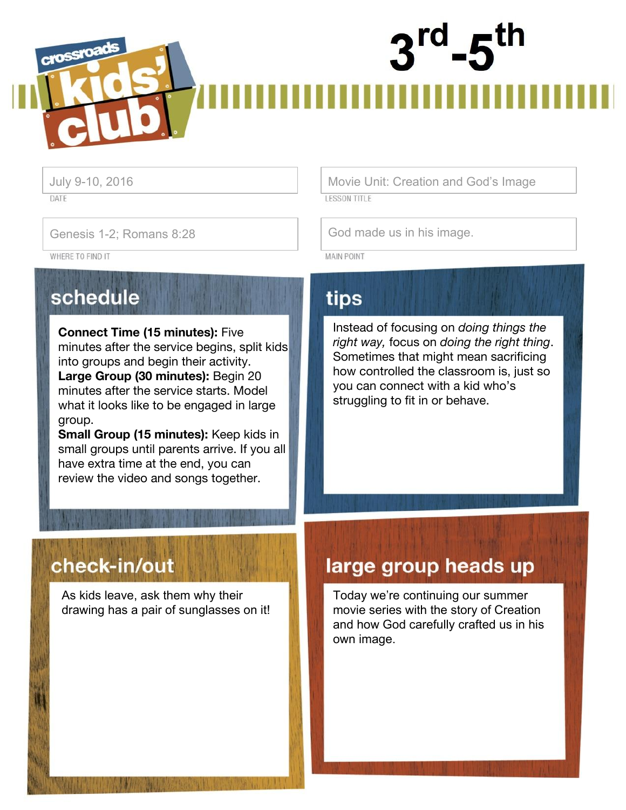# crossroa

DATE

WHERE TO FIND IT

schedule

**Connect Time (15 minutes):** Five minutes after the service begins, split kids into groups and begin their activity. **Large Group (30 minutes):** Begin 20 minutes after the service starts. Model what it looks like to be engaged in large group.

**Small Group (15 minutes):** Keep kids in small groups until parents arrive. If you all have extra time at the end, you can review the video and songs together.

July 9-10, 2016 **Movie Unit: Creation and God's Image LESSON TITLE** 

Genesis 1-2; Romans 8:28 Genesis 1-2; Romans 8:28

**MAIN POINT** 

# tips

Instead of focusing on *doing things the right way,* focus on *doing the right thing*. Sometimes that might mean sacrificing how controlled the classroom is, just so you can connect with a kid who's struggling to fit in or behave.

# check-in/out

As kids leave, ask them why their drawing has a pair of sunglasses on it!

# large group heads up

Today we're continuing our summer movie series with the story of Creation and how God carefully crafted us in his own image.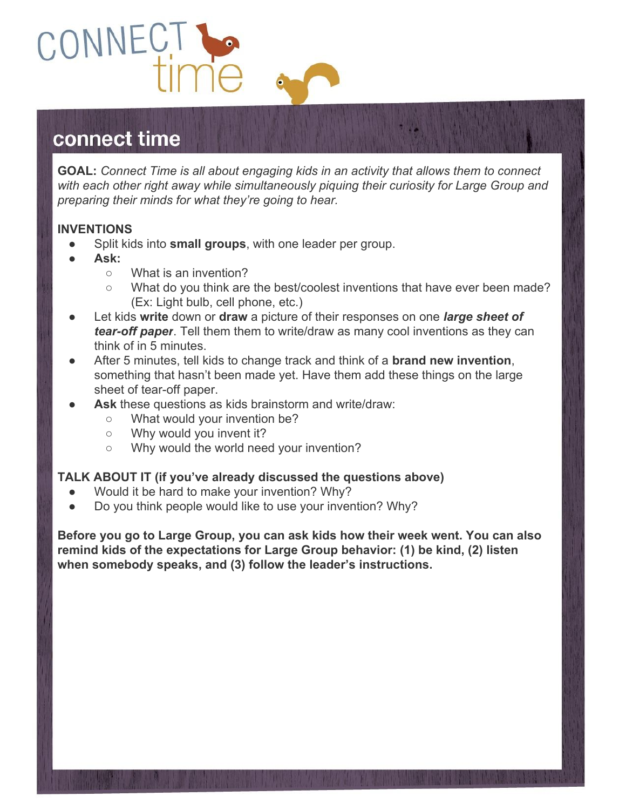

# connect time

**GOAL:** *Connect Time is all about engaging kids in an activity that allows them to connect with each other right away while simultaneously piquing their curiosity for Large Group and preparing their minds for what they're going to hear.*

#### **INVENTIONS**

- Split kids into **small groups**, with one leader per group.
- **● Ask:**
	- What is an invention?
	- What do you think are the best/coolest inventions that have ever been made? (Ex: Light bulb, cell phone, etc.)
- Let kids write down or draw a picture of their responses on one *large sheet of tear-off paper.* Tell them them to write/draw as many cool inventions as they can think of in 5 minutes.
- After 5 minutes, tell kids to change track and think of a **brand new invention**, something that hasn't been made yet. Have them add these things on the large sheet of tear-off paper.
- Ask these questions as kids brainstorm and write/draw:
	- What would your invention be?
	- Why would you invent it?
	- Why would the world need your invention?

#### **TALK ABOUT IT (if you've already discussed the questions above)**

- Would it be hard to make your invention? Why?
- Do you think people would like to use your invention? Why?

**Before you go to Large Group, you can ask kids how their week went. You can also remind kids of the expectations for Large Group behavior: (1) be kind, (2) listen when somebody speaks, and (3) follow the leader's instructions.**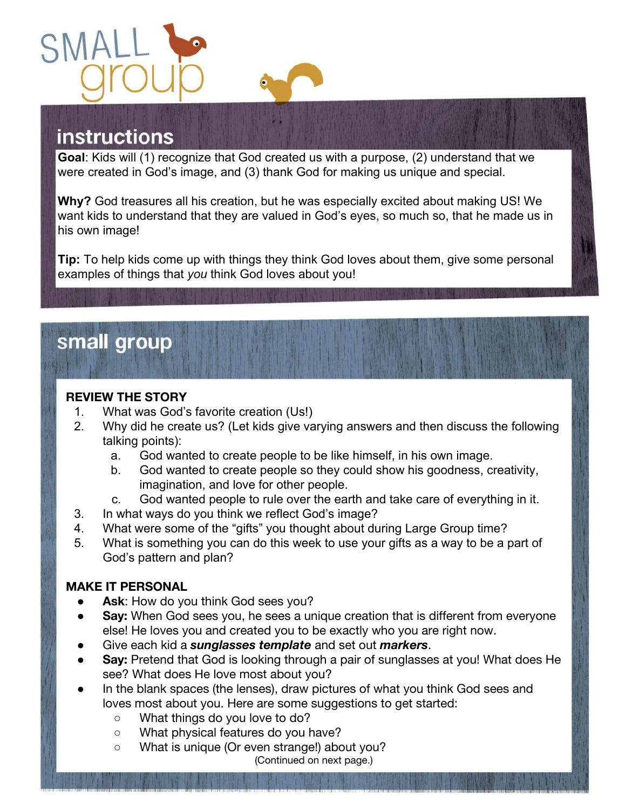

# **instructions**

**Goal**: Kids will (1) recognize that God created us with a purpose, (2) understand that we were created in God's image, and (3) thank God for making us unique and special.

**Why?** God treasures all his creation, but he was especially excited about making US! We want kids to understand that they are valued in God's eyes, so much so, that he made us in his own image!

**Tip:** To help kids come up with things they think God loves about them, give some personal examples of things that *you* think God loves about you!

# small group

#### **REVIEW THE STORY**

- 1. What was God's favorite creation (Us!)
- 2. Why did he create us? (Let kids give varying answers and then discuss the following talking points):
	- a. God wanted to create people to be like himself, in his own image.
	- b. God wanted to create people so they could show his goodness, creativity, imagination, and love for other people.
	- c. God wanted people to rule over the earth and take care of everything in it.
- 3. In what ways do you think we reflect God's image?
- 4. What were some of the "gifts" you thought about during Large Group time?
- 5. What is something you can do this week to use your gifts as a way to be a part of God's pattern and plan?

#### **MAKE IT PERSONAL**

- **Ask**: How do you think God sees you?
- Say: When God sees you, he sees a unique creation that is different from everyone else! He loves you and created you to be exactly who you are right now.
- Give each kid a *sunglasses template* and set out *markers*.
- **Say:** Pretend that God is looking through a pair of sunglasses at you! What does He see? What does He love most about you?
- In the blank spaces (the lenses), draw pictures of what you think God sees and loves most about you. Here are some suggestions to get started:
	- What things do you love to do?
	- What physical features do you have?
	- What is unique (Or even strange!) about you? (Continued on next page.)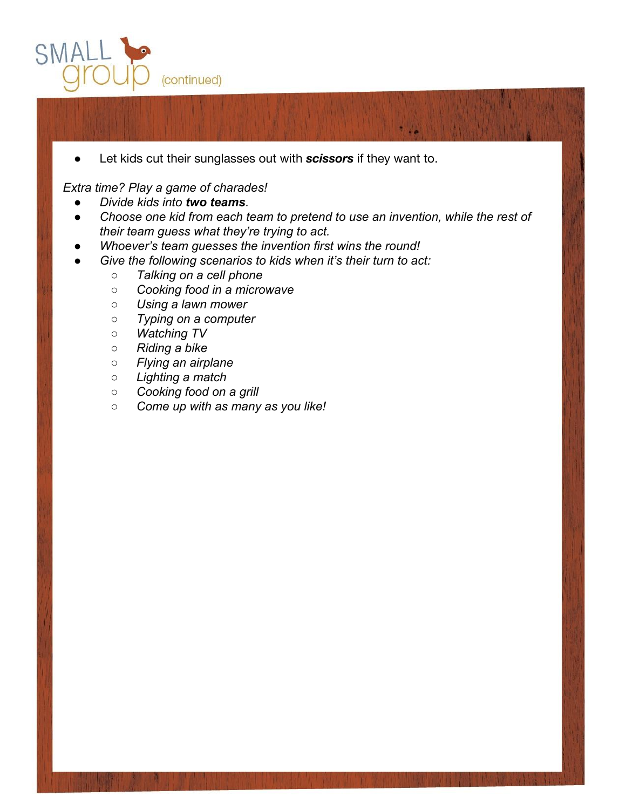

● Let kids cut their sunglasses out with *scissors* if they want to.

#### *Extra time? Play a game of charades!*

- *● Divide kids into two teams.*
- *● Choose one kid from each team to pretend to use an invention, while the rest of their team guess what they're trying to act.*
- *● Whoever's team guesses the invention first wins the round!*
- Give the following scenarios to kids when it's their turn to act:
	- *○ Talking on a cell phone*
	- *○ Cooking food in a microwave*
	- *○ Using a lawn mower*
	- *○ Typing on a computer*
	- *○ Watching TV*
	- *○ Riding a bike*
	- *○ Flying an airplane*
	- *○ Lighting a match*
	- *○ Cooking food on a grill*
	- *○ Come up with as many as you like!*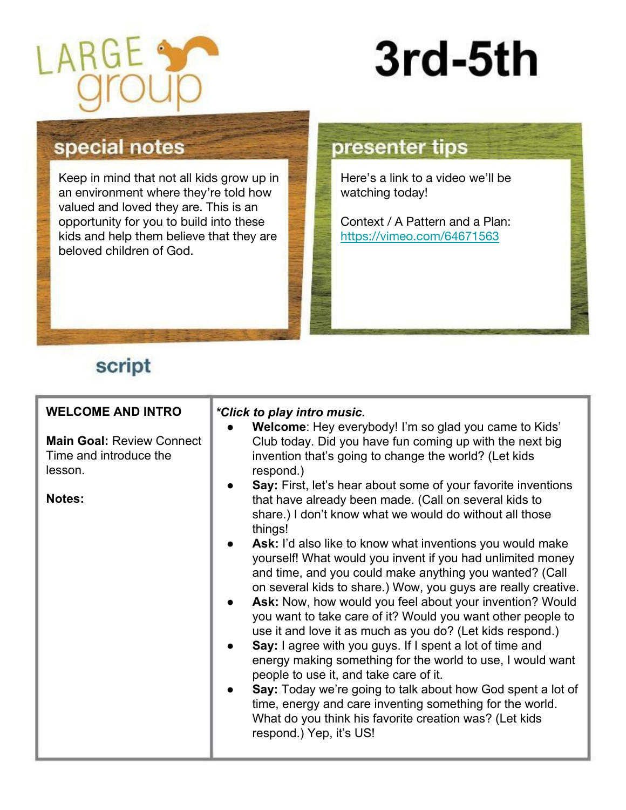

# 3rd-5th

## special notes

Keep in mind that not all kids grow up in an environment where they're told how valued and loved they are. This is an opportunity for you to build into these kids and help them believe that they are beloved children of God.

### presenter tips

Here's a link to a video we'll be watching today!

Context / A Pattern and a Plan: <https://vimeo.com/64671563>

# script

| <b>WELCOME AND INTRO</b><br><b>Main Goal: Review Connect</b><br>Time and introduce the<br>lesson.<br>Notes: |
|-------------------------------------------------------------------------------------------------------------|
|-------------------------------------------------------------------------------------------------------------|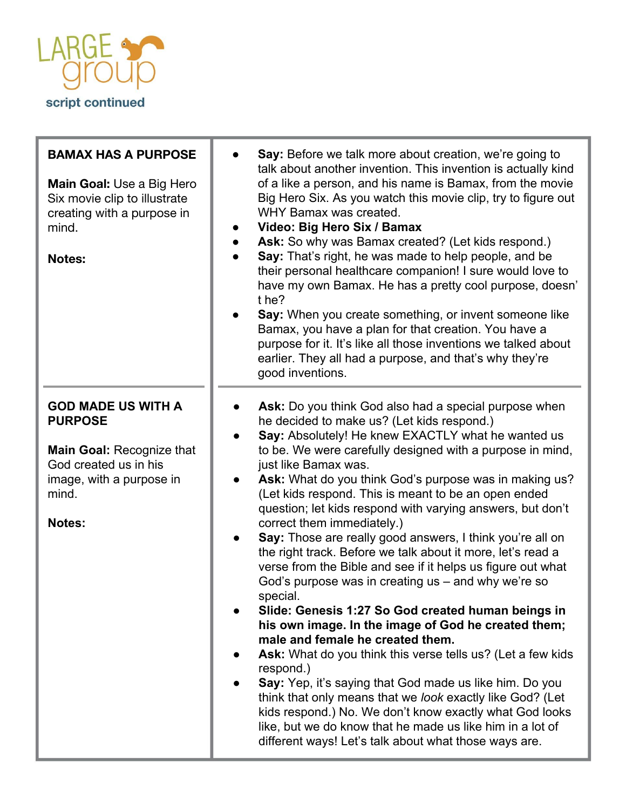

| <b>BAMAX HAS A PURPOSE</b><br>Main Goal: Use a Big Hero<br>Six movie clip to illustrate<br>creating with a purpose in<br>mind.<br><b>Notes:</b>         | Say: Before we talk more about creation, we're going to<br>talk about another invention. This invention is actually kind<br>of a like a person, and his name is Bamax, from the movie<br>Big Hero Six. As you watch this movie clip, try to figure out<br>WHY Bamax was created.<br>Video: Big Hero Six / Bamax<br>Ask: So why was Bamax created? (Let kids respond.)<br>Say: That's right, he was made to help people, and be<br>their personal healthcare companion! I sure would love to<br>have my own Bamax. He has a pretty cool purpose, doesn'<br>t he?<br>Say: When you create something, or invent someone like<br>Bamax, you have a plan for that creation. You have a<br>purpose for it. It's like all those inventions we talked about<br>earlier. They all had a purpose, and that's why they're<br>good inventions.                                                                                                                                                                                                                                                                                                                                                                                                                                 |
|---------------------------------------------------------------------------------------------------------------------------------------------------------|--------------------------------------------------------------------------------------------------------------------------------------------------------------------------------------------------------------------------------------------------------------------------------------------------------------------------------------------------------------------------------------------------------------------------------------------------------------------------------------------------------------------------------------------------------------------------------------------------------------------------------------------------------------------------------------------------------------------------------------------------------------------------------------------------------------------------------------------------------------------------------------------------------------------------------------------------------------------------------------------------------------------------------------------------------------------------------------------------------------------------------------------------------------------------------------------------------------------------------------------------------------------|
| <b>GOD MADE US WITH A</b><br><b>PURPOSE</b><br><b>Main Goal: Recognize that</b><br>God created us in his<br>image, with a purpose in<br>mind.<br>Notes: | Ask: Do you think God also had a special purpose when<br>he decided to make us? (Let kids respond.)<br>Say: Absolutely! He knew EXACTLY what he wanted us<br>to be. We were carefully designed with a purpose in mind,<br>just like Bamax was.<br>Ask: What do you think God's purpose was in making us?<br>(Let kids respond. This is meant to be an open ended<br>question; let kids respond with varying answers, but don't<br>correct them immediately.)<br>Say: Those are really good answers, I think you're all on<br>the right track. Before we talk about it more, let's read a<br>verse from the Bible and see if it helps us figure out what<br>God's purpose was in creating $us -$ and why we're so<br>special.<br>Slide: Genesis 1:27 So God created human beings in<br>his own image. In the image of God he created them;<br>male and female he created them.<br>Ask: What do you think this verse tells us? (Let a few kids<br>respond.)<br>Say: Yep, it's saying that God made us like him. Do you<br>think that only means that we look exactly like God? (Let<br>kids respond.) No. We don't know exactly what God looks<br>like, but we do know that he made us like him in a lot of<br>different ways! Let's talk about what those ways are. |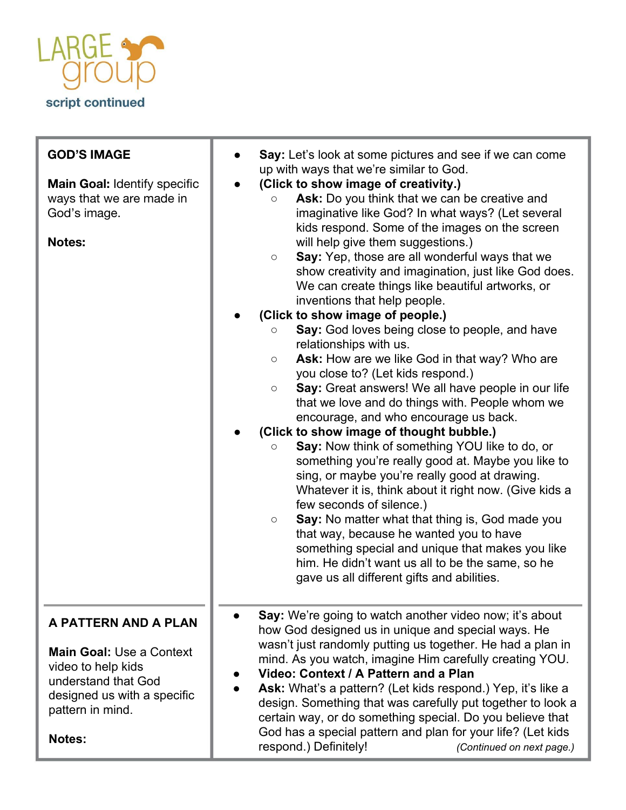

| <b>GOD'S IMAGE</b><br><b>Main Goal: Identify specific</b><br>ways that we are made in<br>God's image.<br><b>Notes:</b>                                            | Say: Let's look at some pictures and see if we can come<br>up with ways that we're similar to God.<br>(Click to show image of creativity.)<br>Ask: Do you think that we can be creative and<br>$\circ$<br>imaginative like God? In what ways? (Let several<br>kids respond. Some of the images on the screen<br>will help give them suggestions.)<br>Say: Yep, those are all wonderful ways that we<br>$\bigcirc$<br>show creativity and imagination, just like God does.<br>We can create things like beautiful artworks, or<br>inventions that help people.<br>(Click to show image of people.)<br>Say: God loves being close to people, and have<br>$\bigcirc$<br>relationships with us.<br>Ask: How are we like God in that way? Who are<br>$\circ$<br>you close to? (Let kids respond.)<br>Say: Great answers! We all have people in our life<br>$\circ$<br>that we love and do things with. People whom we |
|-------------------------------------------------------------------------------------------------------------------------------------------------------------------|------------------------------------------------------------------------------------------------------------------------------------------------------------------------------------------------------------------------------------------------------------------------------------------------------------------------------------------------------------------------------------------------------------------------------------------------------------------------------------------------------------------------------------------------------------------------------------------------------------------------------------------------------------------------------------------------------------------------------------------------------------------------------------------------------------------------------------------------------------------------------------------------------------------|
|                                                                                                                                                                   | encourage, and who encourage us back.<br>(Click to show image of thought bubble.)<br>Say: Now think of something YOU like to do, or<br>O<br>something you're really good at. Maybe you like to<br>sing, or maybe you're really good at drawing.<br>Whatever it is, think about it right now. (Give kids a<br>few seconds of silence.)<br>Say: No matter what that thing is, God made you<br>$\bigcirc$<br>that way, because he wanted you to have<br>something special and unique that makes you like<br>him. He didn't want us all to be the same, so he<br>gave us all different gifts and abilities.                                                                                                                                                                                                                                                                                                          |
| A PATTERN AND A PLAN<br><b>Main Goal: Use a Context</b><br>video to help kids<br>understand that God<br>designed us with a specific<br>pattern in mind.<br>Notes: | Say: We're going to watch another video now; it's about<br>how God designed us in unique and special ways. He<br>wasn't just randomly putting us together. He had a plan in<br>mind. As you watch, imagine Him carefully creating YOU.<br>Video: Context / A Pattern and a Plan<br>Ask: What's a pattern? (Let kids respond.) Yep, it's like a<br>design. Something that was carefully put together to look a<br>certain way, or do something special. Do you believe that<br>God has a special pattern and plan for your life? (Let kids<br>respond.) Definitely!<br>(Continued on next page.)                                                                                                                                                                                                                                                                                                                  |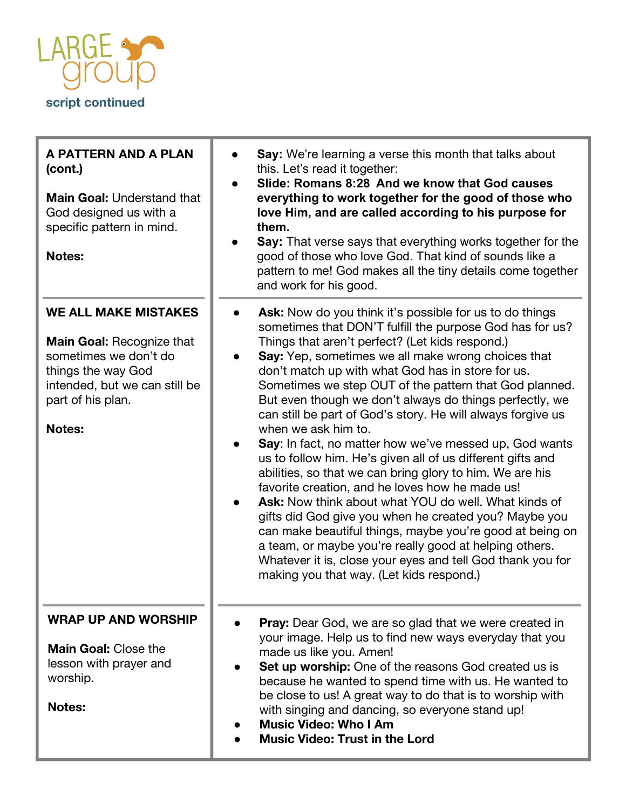

| A PATTERN AND A PLAN<br>(cont.)<br><b>Main Goal: Understand that</b><br>God designed us with a<br>specific pattern in mind.<br><b>Notes:</b>                                          | Say: We're learning a verse this month that talks about<br>this. Let's read it together:<br>Slide: Romans 8:28 And we know that God causes<br>everything to work together for the good of those who<br>love Him, and are called according to his purpose for<br>them.<br>Say: That verse says that everything works together for the<br>good of those who love God. That kind of sounds like a<br>pattern to me! God makes all the tiny details come together<br>and work for his good.                                                                                                                                                                                                                                                                                                                                                                                                                                                                                                                                                                                                     |
|---------------------------------------------------------------------------------------------------------------------------------------------------------------------------------------|---------------------------------------------------------------------------------------------------------------------------------------------------------------------------------------------------------------------------------------------------------------------------------------------------------------------------------------------------------------------------------------------------------------------------------------------------------------------------------------------------------------------------------------------------------------------------------------------------------------------------------------------------------------------------------------------------------------------------------------------------------------------------------------------------------------------------------------------------------------------------------------------------------------------------------------------------------------------------------------------------------------------------------------------------------------------------------------------|
| <b>WE ALL MAKE MISTAKES</b><br><b>Main Goal: Recognize that</b><br>sometimes we don't do<br>things the way God<br>intended, but we can still be<br>part of his plan.<br><b>Notes:</b> | Ask: Now do you think it's possible for us to do things<br>sometimes that DON'T fulfill the purpose God has for us?<br>Things that aren't perfect? (Let kids respond.)<br>Say: Yep, sometimes we all make wrong choices that<br>don't match up with what God has in store for us.<br>Sometimes we step OUT of the pattern that God planned.<br>But even though we don't always do things perfectly, we<br>can still be part of God's story. He will always forgive us<br>when we ask him to.<br>Say: In fact, no matter how we've messed up, God wants<br>us to follow him. He's given all of us different gifts and<br>abilities, so that we can bring glory to him. We are his<br>favorite creation, and he loves how he made us!<br><b>Ask:</b> Now think about what YOU do well. What kinds of<br>gifts did God give you when he created you? Maybe you<br>can make beautiful things, maybe you're good at being on<br>a team, or maybe you're really good at helping others.<br>Whatever it is, close your eyes and tell God thank you for<br>making you that way. (Let kids respond.) |
| <b>WRAP UP AND WORSHIP</b><br>Main Goal: Close the<br>lesson with prayer and<br>worship.<br><b>Notes:</b>                                                                             | <b>Pray:</b> Dear God, we are so glad that we were created in<br>your image. Help us to find new ways everyday that you<br>made us like you. Amen!<br>Set up worship: One of the reasons God created us is<br>because he wanted to spend time with us. He wanted to<br>be close to us! A great way to do that is to worship with<br>with singing and dancing, so everyone stand up!<br><b>Music Video: Who I Am</b><br><b>Music Video: Trust in the Lord</b>                                                                                                                                                                                                                                                                                                                                                                                                                                                                                                                                                                                                                                |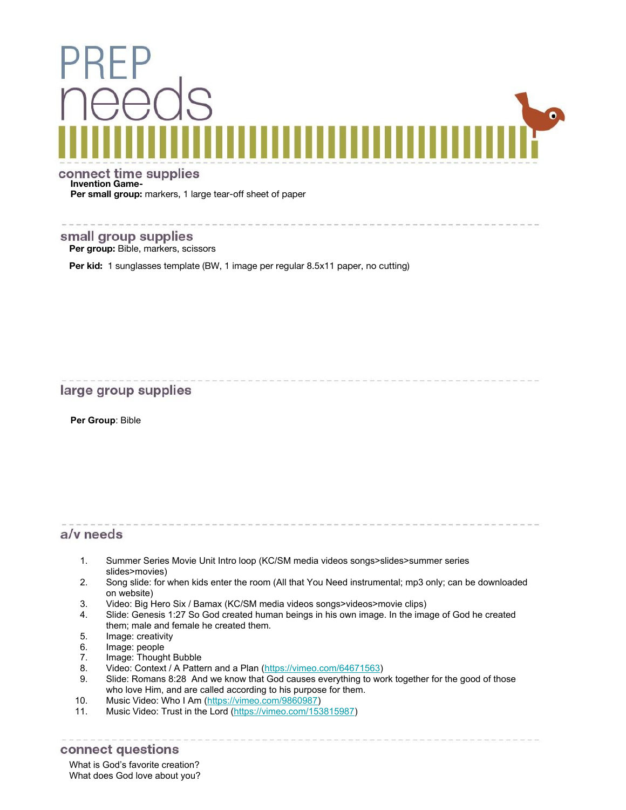

#### connect time supplies **Invention Game-**Per small group: markers, 1 large tear-off sheet of paper

small group supplies Per group: Bible, markers, scissors

**Per kid:** 1 sunglasses template (BW, 1 image per regular 8.5x11 paper, no cutting)

#### large group supplies

**Per Group**: Bible

#### a/v needs

- 1. Summer Series Movie Unit Intro loop (KC/SM media videos songs>slides>summer series slides>movies)
- 2. Song slide: for when kids enter the room (All that You Need instrumental; mp3 only; can be downloaded on website)

- 3. Video: Big Hero Six / Bamax (KC/SM media videos songs>videos>movie clips)
- 4. Slide: Genesis 1:27 So God created human beings in his own image. In the image of God he created them; male and female he created them.
- 5. Image: creativity
- 
- 6. Image: people<br>7. Image: Though Image: Thought Bubble
- 8. Video: Context / A Pattern and a Plan ([https://vimeo.com/64671563\)](https://vimeo.com/64671563)
- 9. Slide: Romans 8:28 And we know that God causes everything to work together for the good of those who love Him, and are called according to his purpose for them.
- 10. Music Video: Who I Am ([https://vimeo.com/9860987\)](https://vimeo.com/9860987)
- 11. Music Video: Trust in the Lord ([https://vimeo.com/153815987\)](https://vimeo.com/153815987)

#### connect questions

What is God's favorite creation? What does God love about you?